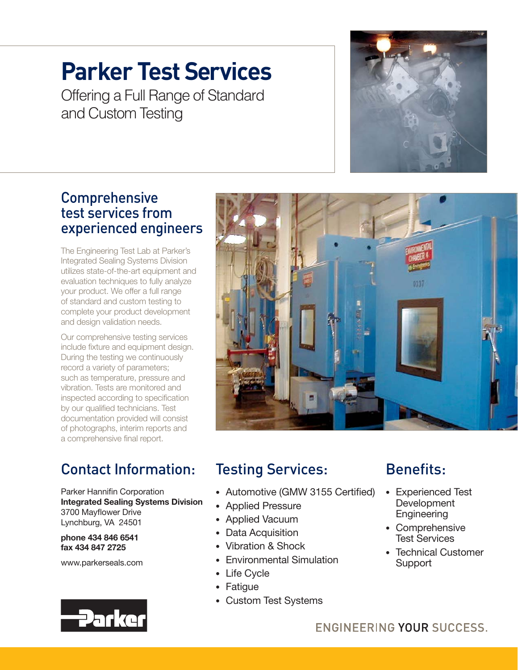# **Parker Test Services**

Offering a Full Range of Standard and Custom Testing

### Comprehensive test services from experienced engineers

The Engineering Test Lab at Parker's Integrated Sealing Systems Division utilizes state-of-the-art equipment and evaluation techniques to fully analyze your product. We offer a full range of standard and custom testing to complete your product development and design validation needs.

Our comprehensive testing services include fixture and equipment design. During the testing we continuously record a variety of parameters; such as temperature, pressure and vibration. Tests are monitored and inspected according to specification by our qualified technicians. Test documentation provided will consist of photographs, interim reports and a comprehensive final report.

## Contact Information:

Parker Hannifin Corporation **Integrated Sealing Systems Division**  3700 Mayflower Drive Lynchburg, VA 24501

**phone 434 846 6541 fax 434 847 2725**

www.parkerseals.com



# Testing Services:

- Automotive (GMW 3155 Certified)
- Applied Pressure
- Applied Vacuum
- Data Acquisition
- Vibration & Shock
- Environmental Simulation
- Life Cycle
- Fatigue
- Custom Test Systems

## Benefits:

- Experienced Test **Development Engineering**
- Comprehensive Test Services
- Technical Customer **Support**